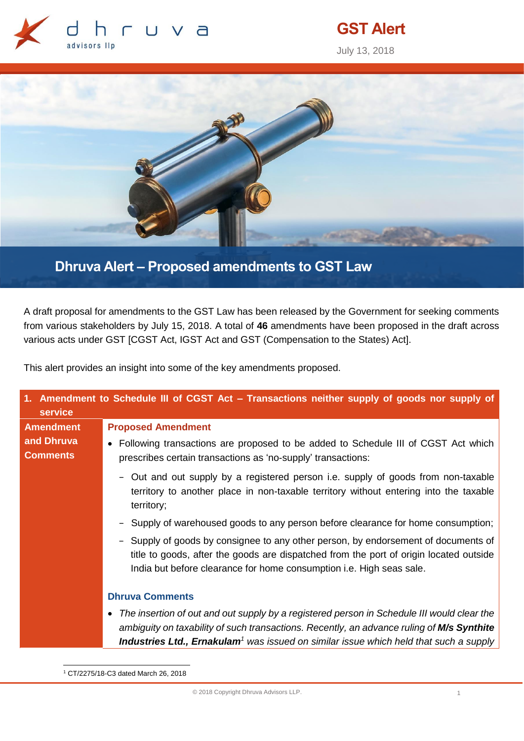

# **GST Alert**

July 13, 2018



**Dhruva Alert – Proposed amendments to GST Law**

A draft proposal for amendments to the GST Law has been released by the Government for seeking comments from various stakeholders by July 15, 2018. A total of **46** amendments have been proposed in the draft across various acts under GST [CGST Act, IGST Act and GST (Compensation to the States) Act].

This alert provides an insight into some of the key amendments proposed.

| 1. Amendment to Schedule III of CGST Act – Transactions neither supply of goods nor supply of<br>service |                                                                                                                                                                                                                                                                                              |
|----------------------------------------------------------------------------------------------------------|----------------------------------------------------------------------------------------------------------------------------------------------------------------------------------------------------------------------------------------------------------------------------------------------|
| <b>Amendment</b>                                                                                         | <b>Proposed Amendment</b>                                                                                                                                                                                                                                                                    |
| and Dhruva<br><b>Comments</b>                                                                            | • Following transactions are proposed to be added to Schedule III of CGST Act which<br>prescribes certain transactions as 'no-supply' transactions:                                                                                                                                          |
|                                                                                                          | - Out and out supply by a registered person i.e. supply of goods from non-taxable<br>territory to another place in non-taxable territory without entering into the taxable<br>territory;                                                                                                     |
|                                                                                                          | - Supply of warehoused goods to any person before clearance for home consumption;                                                                                                                                                                                                            |
|                                                                                                          | Supply of goods by consignee to any other person, by endorsement of documents of<br>$\overline{\phantom{a}}$<br>title to goods, after the goods are dispatched from the port of origin located outside<br>India but before clearance for home consumption i.e. High seas sale.               |
|                                                                                                          | <b>Dhruva Comments</b>                                                                                                                                                                                                                                                                       |
|                                                                                                          | The insertion of out and out supply by a registered person in Schedule III would clear the<br>ambiguity on taxability of such transactions. Recently, an advance ruling of M/s Synthite<br>Industries Ltd., Ernakulam <sup>1</sup> was issued on similar issue which held that such a supply |

-<sup>1</sup> CT/2275/18-C3 dated March 26, 2018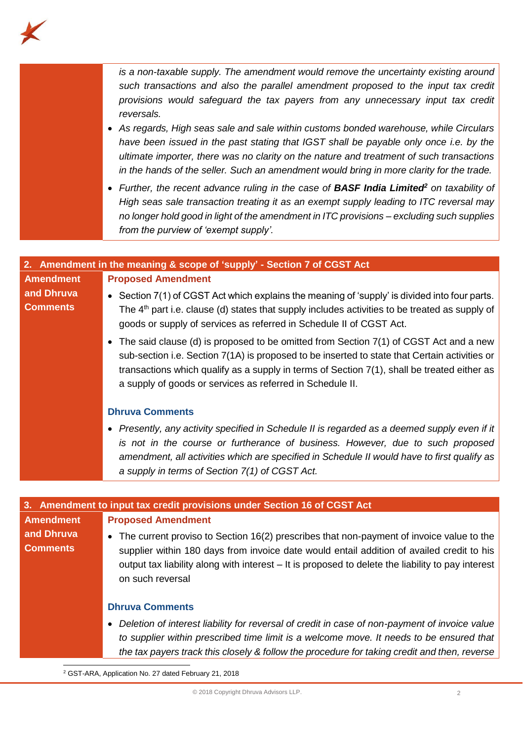

*is a non-taxable supply. The amendment would remove the uncertainty existing around such transactions and also the parallel amendment proposed to the input tax credit provisions would safeguard the tax payers from any unnecessary input tax credit reversals.*

- *As regards, High seas sale and sale within customs bonded warehouse, while Circulars have been issued in the past stating that IGST shall be payable only once i.e. by the ultimate importer, there was no clarity on the nature and treatment of such transactions in the hands of the seller. Such an amendment would bring in more clarity for the trade.*
- *Further, the recent advance ruling in the case of BASF India Limited<sup>2</sup> on taxability of High seas sale transaction treating it as an exempt supply leading to ITC reversal may no longer hold good in light of the amendment in ITC provisions – excluding such supplies from the purview of 'exempt supply'.*

|                               | 2. Amendment in the meaning & scope of 'supply' - Section 7 of CGST Act                                                                                                                                                                                                                                                                                 |
|-------------------------------|---------------------------------------------------------------------------------------------------------------------------------------------------------------------------------------------------------------------------------------------------------------------------------------------------------------------------------------------------------|
| <b>Amendment</b>              | <b>Proposed Amendment</b>                                                                                                                                                                                                                                                                                                                               |
| and Dhruva<br><b>Comments</b> | • Section $7(1)$ of CGST Act which explains the meaning of 'supply' is divided into four parts.<br>The 4 <sup>th</sup> part i.e. clause (d) states that supply includes activities to be treated as supply of<br>goods or supply of services as referred in Schedule II of CGST Act.                                                                    |
|                               | • The said clause (d) is proposed to be omitted from Section 7(1) of CGST Act and a new<br>sub-section i.e. Section 7(1A) is proposed to be inserted to state that Certain activities or<br>transactions which qualify as a supply in terms of Section $7(1)$ , shall be treated either as<br>a supply of goods or services as referred in Schedule II. |
|                               | <b>Dhruva Comments</b>                                                                                                                                                                                                                                                                                                                                  |
|                               | Presently, any activity specified in Schedule II is regarded as a deemed supply even if it<br>$\bullet$<br>is not in the course or furtherance of business. However, due to such proposed<br>amendment, all activities which are specified in Schedule II would have to first qualify as<br>a supply in terms of Section 7(1) of CGST Act.              |



<sup>2</sup> GST-ARA, Application No. 27 dated February 21, 2018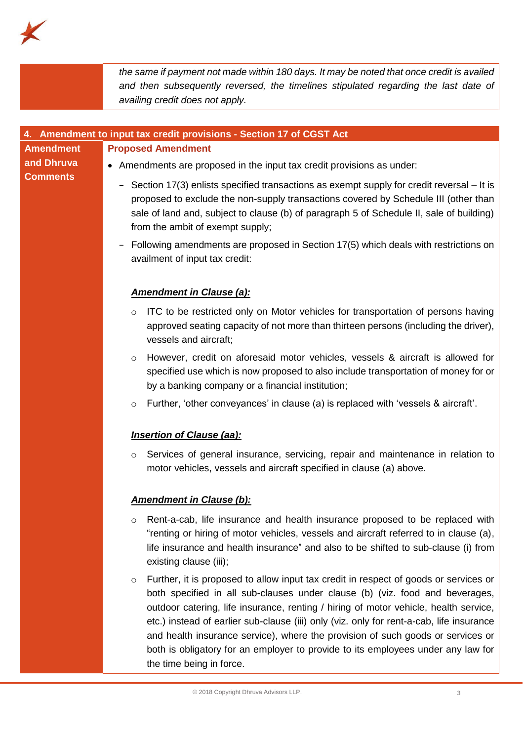

|                               | the same if payment not made within 180 days. It may be noted that once credit is availed<br>and then subsequently reversed, the timelines stipulated regarding the last date of                                                                                                                                                                                                                                                                                                                                                                                       |
|-------------------------------|------------------------------------------------------------------------------------------------------------------------------------------------------------------------------------------------------------------------------------------------------------------------------------------------------------------------------------------------------------------------------------------------------------------------------------------------------------------------------------------------------------------------------------------------------------------------|
|                               | availing credit does not apply.                                                                                                                                                                                                                                                                                                                                                                                                                                                                                                                                        |
|                               | Amendment to input tax credit provisions - Section 17 of CGST Act                                                                                                                                                                                                                                                                                                                                                                                                                                                                                                      |
| <b>Amendment</b>              | <b>Proposed Amendment</b>                                                                                                                                                                                                                                                                                                                                                                                                                                                                                                                                              |
| and Dhruva<br><b>Comments</b> | • Amendments are proposed in the input tax credit provisions as under:<br>Section 17(3) enlists specified transactions as exempt supply for credit reversal – It is<br>proposed to exclude the non-supply transactions covered by Schedule III (other than<br>sale of land and, subject to clause (b) of paragraph 5 of Schedule II, sale of building)                                                                                                                                                                                                                 |
|                               | from the ambit of exempt supply;<br>Following amendments are proposed in Section 17(5) which deals with restrictions on<br>availment of input tax credit:                                                                                                                                                                                                                                                                                                                                                                                                              |
|                               | <b>Amendment in Clause (a):</b>                                                                                                                                                                                                                                                                                                                                                                                                                                                                                                                                        |
|                               | ITC to be restricted only on Motor vehicles for transportation of persons having<br>$\circ$<br>approved seating capacity of not more than thirteen persons (including the driver),<br>vessels and aircraft;                                                                                                                                                                                                                                                                                                                                                            |
|                               | However, credit on aforesaid motor vehicles, vessels & aircraft is allowed for<br>$\circ$<br>specified use which is now proposed to also include transportation of money for or<br>by a banking company or a financial institution;                                                                                                                                                                                                                                                                                                                                    |
|                               | Further, 'other conveyances' in clause (a) is replaced with 'vessels & aircraft'.<br>$\circ$<br><b>Insertion of Clause (aa):</b>                                                                                                                                                                                                                                                                                                                                                                                                                                       |
|                               | Services of general insurance, servicing, repair and maintenance in relation to<br>O<br>motor vehicles, vessels and aircraft specified in clause (a) above.                                                                                                                                                                                                                                                                                                                                                                                                            |
|                               | <b>Amendment in Clause (b):</b>                                                                                                                                                                                                                                                                                                                                                                                                                                                                                                                                        |
|                               | Rent-a-cab, life insurance and health insurance proposed to be replaced with<br>O<br>"renting or hiring of motor vehicles, vessels and aircraft referred to in clause (a),<br>life insurance and health insurance" and also to be shifted to sub-clause (i) from<br>existing clause (iii);                                                                                                                                                                                                                                                                             |
|                               | Further, it is proposed to allow input tax credit in respect of goods or services or<br>$\circ$<br>both specified in all sub-clauses under clause (b) (viz. food and beverages,<br>outdoor catering, life insurance, renting / hiring of motor vehicle, health service,<br>etc.) instead of earlier sub-clause (iii) only (viz. only for rent-a-cab, life insurance<br>and health insurance service), where the provision of such goods or services or<br>both is obligatory for an employer to provide to its employees under any law for<br>the time being in force. |
|                               | © 2018 Copyright Dhruva Advisors LLP.<br>3                                                                                                                                                                                                                                                                                                                                                                                                                                                                                                                             |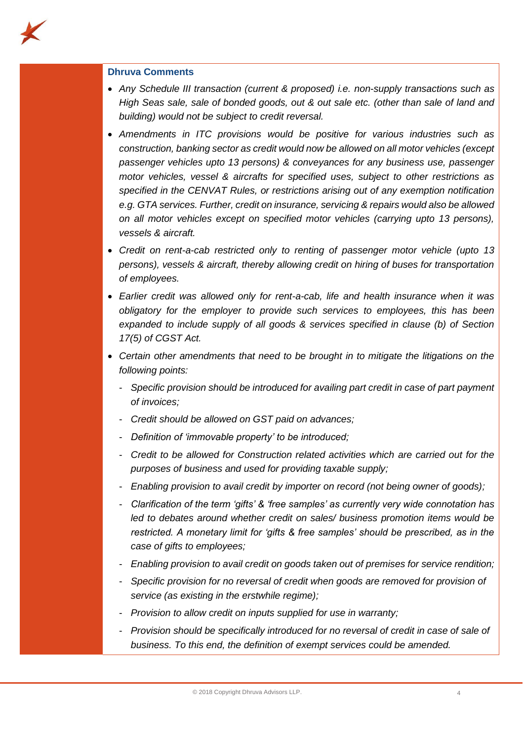

# **Dhruva Comments**

- *Any Schedule III transaction (current & proposed) i.e. non-supply transactions such as High Seas sale, sale of bonded goods, out & out sale etc. (other than sale of land and building) would not be subject to credit reversal.*
- *Amendments in ITC provisions would be positive for various industries such as construction, banking sector as credit would now be allowed on all motor vehicles (except passenger vehicles upto 13 persons) & conveyances for any business use, passenger motor vehicles, vessel & aircrafts for specified uses, subject to other restrictions as specified in the CENVAT Rules, or restrictions arising out of any exemption notification e.g. GTA services. Further, credit on insurance, servicing & repairs would also be allowed on all motor vehicles except on specified motor vehicles (carrying upto 13 persons), vessels & aircraft.*
- *Credit on rent-a-cab restricted only to renting of passenger motor vehicle (upto 13 persons), vessels & aircraft, thereby allowing credit on hiring of buses for transportation of employees.*
- *Earlier credit was allowed only for rent-a-cab, life and health insurance when it was obligatory for the employer to provide such services to employees, this has been expanded to include supply of all goods & services specified in clause (b) of Section 17(5) of CGST Act.*
- *Certain other amendments that need to be brought in to mitigate the litigations on the following points:* 
	- *Specific provision should be introduced for availing part credit in case of part payment of invoices;*
	- *Credit should be allowed on GST paid on advances;*
	- *Definition of 'immovable property' to be introduced;*
	- *Credit to be allowed for Construction related activities which are carried out for the purposes of business and used for providing taxable supply;*
	- *Enabling provision to avail credit by importer on record (not being owner of goods);*
	- *Clarification of the term 'gifts' & 'free samples' as currently very wide connotation has*  led to debates around whether credit on sales/ business promotion items would be *restricted. A monetary limit for 'gifts & free samples' should be prescribed, as in the case of gifts to employees;*
	- *Enabling provision to avail credit on goods taken out of premises for service rendition;*
	- *Specific provision for no reversal of credit when goods are removed for provision of service (as existing in the erstwhile regime);*
	- *Provision to allow credit on inputs supplied for use in warranty;*
	- *Provision should be specifically introduced for no reversal of credit in case of sale of business. To this end, the definition of exempt services could be amended.*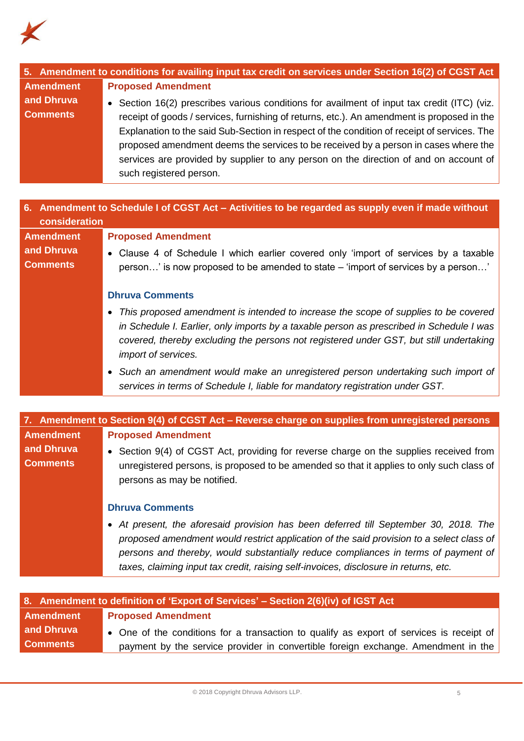

| 5. Amendment to conditions for availing input tax credit on services under Section 16(2) of CGST Act |                                                                                             |
|------------------------------------------------------------------------------------------------------|---------------------------------------------------------------------------------------------|
| <b>Amendment</b>                                                                                     | <b>Proposed Amendment</b>                                                                   |
| and Dhruva                                                                                           | • Section 16(2) prescribes various conditions for availment of input tax credit (ITC) (viz. |
| <b>Comments</b>                                                                                      | receipt of goods / services, furnishing of returns, etc.). An amendment is proposed in the  |
|                                                                                                      | Explanation to the said Sub-Section in respect of the condition of receipt of services. The |
|                                                                                                      | proposed amendment deems the services to be received by a person in cases where the         |
|                                                                                                      | services are provided by supplier to any person on the direction of and on account of       |
|                                                                                                      | such registered person.                                                                     |

| 6. Amendment to Schedule I of CGST Act – Activities to be regarded as supply even if made without<br>consideration |                                                                                                                                                                                                                                                                                                  |
|--------------------------------------------------------------------------------------------------------------------|--------------------------------------------------------------------------------------------------------------------------------------------------------------------------------------------------------------------------------------------------------------------------------------------------|
| <b>Amendment</b>                                                                                                   | <b>Proposed Amendment</b>                                                                                                                                                                                                                                                                        |
| and Dhruva                                                                                                         | • Clause 4 of Schedule I which earlier covered only 'import of services by a taxable                                                                                                                                                                                                             |
| <b>Comments</b>                                                                                                    | person' is now proposed to be amended to state – 'import of services by a person'                                                                                                                                                                                                                |
|                                                                                                                    | <b>Dhruva Comments</b>                                                                                                                                                                                                                                                                           |
|                                                                                                                    | This proposed amendment is intended to increase the scope of supplies to be covered<br>in Schedule I. Earlier, only imports by a taxable person as prescribed in Schedule I was<br>covered, thereby excluding the persons not registered under GST, but still undertaking<br>import of services. |
|                                                                                                                    | • Such an amendment would make an unregistered person undertaking such import of<br>services in terms of Schedule I, liable for mandatory registration under GST.                                                                                                                                |

|                               | 7. Amendment to Section 9(4) of CGST Act – Reverse charge on supplies from unregistered persons                                                                                                                                                                                                                                                                |
|-------------------------------|----------------------------------------------------------------------------------------------------------------------------------------------------------------------------------------------------------------------------------------------------------------------------------------------------------------------------------------------------------------|
| <b>Amendment</b>              | <b>Proposed Amendment</b>                                                                                                                                                                                                                                                                                                                                      |
| and Dhruva<br><b>Comments</b> | • Section 9(4) of CGST Act, providing for reverse charge on the supplies received from<br>unregistered persons, is proposed to be amended so that it applies to only such class of<br>persons as may be notified.                                                                                                                                              |
|                               | <b>Dhruva Comments</b>                                                                                                                                                                                                                                                                                                                                         |
|                               | • At present, the aforesaid provision has been deferred till September 30, 2018. The<br>proposed amendment would restrict application of the said provision to a select class of<br>persons and thereby, would substantially reduce compliances in terms of payment of<br>taxes, claiming input tax credit, raising self-invoices, disclosure in returns, etc. |
|                               |                                                                                                                                                                                                                                                                                                                                                                |

| 8. Amendment to definition of 'Export of Services' – Section 2(6)(iv) of IGST Act |                                                                                          |
|-----------------------------------------------------------------------------------|------------------------------------------------------------------------------------------|
| Amendment                                                                         | <b>Proposed Amendment</b>                                                                |
| and Dhruva                                                                        | • One of the conditions for a transaction to qualify as export of services is receipt of |
| <b>Comments</b>                                                                   | payment by the service provider in convertible foreign exchange. Amendment in the        |
|                                                                                   |                                                                                          |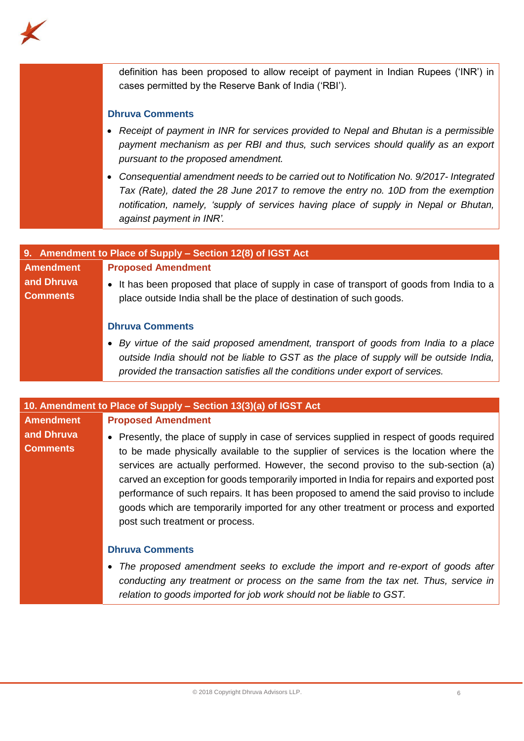

definition has been proposed to allow receipt of payment in Indian Rupees ('INR') in cases permitted by the Reserve Bank of India ('RBI'). **Dhruva Comments** • *Receipt of payment in INR for services provided to Nepal and Bhutan is a permissible payment mechanism as per RBI and thus, such services should qualify as an export pursuant to the proposed amendment.* • *Consequential amendment needs to be carried out to Notification No. 9/2017- Integrated Tax (Rate), dated the 28 June 2017 to remove the entry no. 10D from the exemption notification, namely, 'supply of services having place of supply in Nepal or Bhutan, against payment in INR'.*

| 9. Amendment to Place of Supply - Section 12(8) of IGST Act |                                                                                                                                                                                                        |
|-------------------------------------------------------------|--------------------------------------------------------------------------------------------------------------------------------------------------------------------------------------------------------|
| <b>Amendment</b>                                            | <b>Proposed Amendment</b>                                                                                                                                                                              |
| and Dhruva<br><b>Comments</b>                               | • It has been proposed that place of supply in case of transport of goods from India to a<br>place outside India shall be the place of destination of such goods.                                      |
|                                                             | <b>Dhruva Comments</b>                                                                                                                                                                                 |
|                                                             | • By virtue of the said proposed amendment, transport of goods from India to a place<br>rither and the communication of the control of the control of the control of the control of the control of the |

*outside India should not be liable to GST as the place of supply will be outside India, provided the transaction satisfies all the conditions under export of services.*

# **10. Amendment to Place of Supply – Section 13(3)(a) of IGST Act Amendment and Dhruva Comments Proposed Amendment** • Presently, the place of supply in case of services supplied in respect of goods required to be made physically available to the supplier of services is the location where the services are actually performed. However, the second proviso to the sub-section (a) carved an exception for goods temporarily imported in India for repairs and exported post performance of such repairs. It has been proposed to amend the said proviso to include goods which are temporarily imported for any other treatment or process and exported post such treatment or process. **Dhruva Comments** • *The proposed amendment seeks to exclude the import and re-export of goods after*

*conducting any treatment or process on the same from the tax net. Thus, service in relation to goods imported for job work should not be liable to GST.*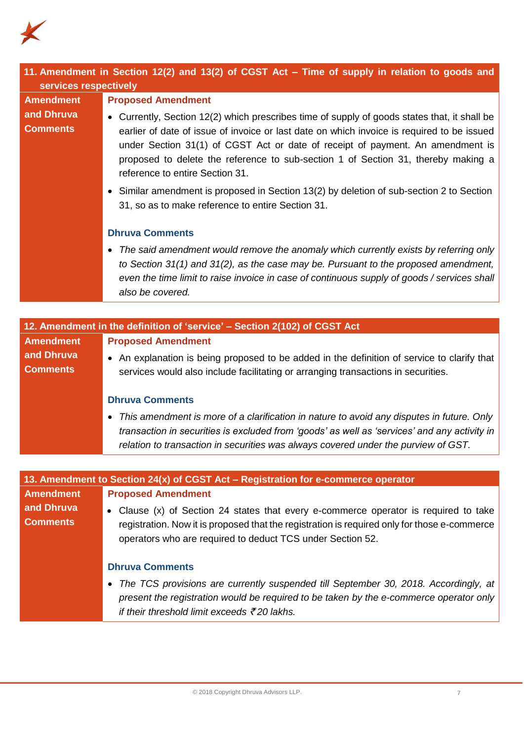

| services respectively         | 11. Amendment in Section 12(2) and 13(2) of CGST Act - Time of supply in relation to goods and                                                                                                                                                                                                                                                                                                                                                                                                                                                                                  |
|-------------------------------|---------------------------------------------------------------------------------------------------------------------------------------------------------------------------------------------------------------------------------------------------------------------------------------------------------------------------------------------------------------------------------------------------------------------------------------------------------------------------------------------------------------------------------------------------------------------------------|
| <b>Amendment</b>              | <b>Proposed Amendment</b>                                                                                                                                                                                                                                                                                                                                                                                                                                                                                                                                                       |
| and Dhruva<br><b>Comments</b> | • Currently, Section 12(2) which prescribes time of supply of goods states that, it shall be<br>earlier of date of issue of invoice or last date on which invoice is required to be issued<br>under Section 31(1) of CGST Act or date of receipt of payment. An amendment is<br>proposed to delete the reference to sub-section 1 of Section 31, thereby making a<br>reference to entire Section 31.<br>• Similar amendment is proposed in Section 13(2) by deletion of sub-section 2 to Section<br>31, so as to make reference to entire Section 31.<br><b>Dhruva Comments</b> |
|                               | The said amendment would remove the anomaly which currently exists by referring only<br>$\bullet$<br>to Section 31(1) and 31(2), as the case may be. Pursuant to the proposed amendment,<br>even the time limit to raise invoice in case of continuous supply of goods / services shall<br>also be covered.                                                                                                                                                                                                                                                                     |
|                               |                                                                                                                                                                                                                                                                                                                                                                                                                                                                                                                                                                                 |
|                               | 12. Amendment in the definition of 'service' - Section 2(102) of CGST Act                                                                                                                                                                                                                                                                                                                                                                                                                                                                                                       |
| <b>Amendment</b>              | <b>Proposed Amendment</b>                                                                                                                                                                                                                                                                                                                                                                                                                                                                                                                                                       |
| and Dhruva<br><b>Comments</b> | • An explanation is being proposed to be added in the definition of service to clarify that<br>services would also include facilitating or arranging transactions in securities.                                                                                                                                                                                                                                                                                                                                                                                                |
|                               | <b>Dhruva Comments</b>                                                                                                                                                                                                                                                                                                                                                                                                                                                                                                                                                          |
|                               | This amendment is more of a clarification in nature to avoid any disputes in future. Only<br>$\bullet$<br>transaction in securities is excluded from 'goods' as well as 'services' and any activity in<br>relation to transaction in securities was always covered under the purview of GST.                                                                                                                                                                                                                                                                                    |
|                               |                                                                                                                                                                                                                                                                                                                                                                                                                                                                                                                                                                                 |
|                               | 13. Amendment to Section 24(x) of CGST Act - Registration for e-commerce operator                                                                                                                                                                                                                                                                                                                                                                                                                                                                                               |
| <b>Amendment</b>              | <b>Proposed Amendment</b>                                                                                                                                                                                                                                                                                                                                                                                                                                                                                                                                                       |
| and Dhruva<br><b>Comments</b> | Clause (x) of Section 24 states that every e-commerce operator is required to take                                                                                                                                                                                                                                                                                                                                                                                                                                                                                              |
|                               | registration. Now it is proposed that the registration is required only for those e-commerce<br>operators who are required to deduct TCS under Section 52.                                                                                                                                                                                                                                                                                                                                                                                                                      |
|                               | <b>Dhruva Comments</b>                                                                                                                                                                                                                                                                                                                                                                                                                                                                                                                                                          |
|                               | The TCS provisions are currently suspended till September 30, 2018. Accordingly, at<br>٠<br>present the registration would be required to be taken by the e-commerce operator only<br>if their threshold limit exceeds $\bar{\tau}$ 20 lakhs.                                                                                                                                                                                                                                                                                                                                   |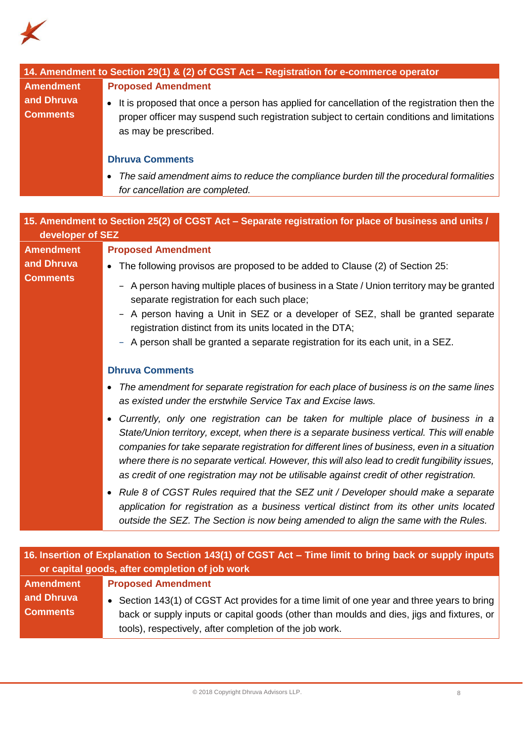

|                                                                                                      | 14. Amendment to Section 29(1) & (2) of CGST Act - Registration for e-commerce operator              |
|------------------------------------------------------------------------------------------------------|------------------------------------------------------------------------------------------------------|
| <b>Amendment</b>                                                                                     | <b>Proposed Amendment</b>                                                                            |
| and Dhruva                                                                                           | • It is proposed that once a person has applied for cancellation of the registration then the        |
| <b>Comments</b>                                                                                      | proper officer may suspend such registration subject to certain conditions and limitations           |
|                                                                                                      | as may be prescribed.                                                                                |
|                                                                                                      |                                                                                                      |
|                                                                                                      | <b>Dhruva Comments</b>                                                                               |
|                                                                                                      | The said amendment aims to reduce the compliance burden till the procedural formalities<br>$\bullet$ |
|                                                                                                      | for cancellation are completed.                                                                      |
|                                                                                                      |                                                                                                      |
| 15. Amendment to Section 25(2) of CGST Act – Separate registration for place of business and units / |                                                                                                      |
| developer of SEZ                                                                                     |                                                                                                      |
| <b>Amendment</b>                                                                                     | <b>Proposed Amendment</b>                                                                            |
| and Dhruva                                                                                           | The following provisos are proposed to be added to Clause (2) of Section 25:                         |
| <b>Comments</b>                                                                                      | - A person having multiple places of business in a State / Union territory may be granted            |
|                                                                                                      | separate registration for each such place;                                                           |
|                                                                                                      | A person having a Unit in SEZ or a developer of SEZ, shall be granted separate                       |
|                                                                                                      | registration distinct from its units located in the DTA;                                             |
|                                                                                                      | - A person shall be granted a separate registration for its each unit, in a SEZ.                     |
|                                                                                                      |                                                                                                      |
|                                                                                                      | <b>Dhruva Comments</b>                                                                               |
|                                                                                                      | The amendment for separate registration for each place of business is on the same lines<br>$\bullet$ |
|                                                                                                      | as existed under the erstwhile Service Tax and Excise laws.                                          |
|                                                                                                      | Currently, only one registration can be taken for multiple place of business in a                    |
|                                                                                                      | State/Union territory, except, when there is a separate business vertical. This will enable          |
|                                                                                                      | companies for take separate registration for different lines of business, even in a situation        |
|                                                                                                      | where there is no separate vertical. However, this will also lead to credit fungibility issues,      |
|                                                                                                      | as credit of one registration may not be utilisable against credit of other registration.            |

• *Rule 8 of CGST Rules required that the SEZ unit / Developer should make a separate application for registration as a business vertical distinct from its other units located outside the SEZ. The Section is now being amended to align the same with the Rules.*

| 16. Insertion of Explanation to Section 143(1) of CGST Act – Time limit to bring back or supply inputs |                                                                                                                                                                                                                                                     |
|--------------------------------------------------------------------------------------------------------|-----------------------------------------------------------------------------------------------------------------------------------------------------------------------------------------------------------------------------------------------------|
| or capital goods, after completion of job work                                                         |                                                                                                                                                                                                                                                     |
| <b>Amendment</b>                                                                                       | <b>Proposed Amendment</b>                                                                                                                                                                                                                           |
| and Dhruva<br><b>Comments</b>                                                                          | • Section 143(1) of CGST Act provides for a time limit of one year and three years to bring<br>back or supply inputs or capital goods (other than moulds and dies, jigs and fixtures, or<br>tools), respectively, after completion of the job work. |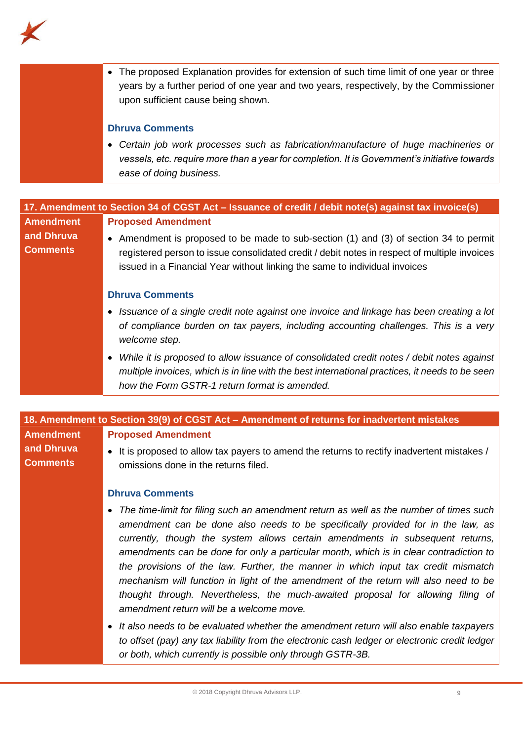

• The proposed Explanation provides for extension of such time limit of one year or three years by a further period of one year and two years, respectively, by the Commissioner upon sufficient cause being shown.

# **Dhruva Comments**

• *Certain job work processes such as fabrication/manufacture of huge machineries or vessels, etc. require more than a year for completion. It is Government's initiative towards ease of doing business.*

|                               | 17. Amendment to Section 34 of CGST Act – Issuance of credit / debit note(s) against tax invoice(s)                                                                                                                                                                 |
|-------------------------------|---------------------------------------------------------------------------------------------------------------------------------------------------------------------------------------------------------------------------------------------------------------------|
| <b>Amendment</b>              | <b>Proposed Amendment</b>                                                                                                                                                                                                                                           |
| and Dhruva<br><b>Comments</b> | • Amendment is proposed to be made to sub-section (1) and (3) of section 34 to permit<br>registered person to issue consolidated credit / debit notes in respect of multiple invoices<br>issued in a Financial Year without linking the same to individual invoices |
|                               | <b>Dhruva Comments</b>                                                                                                                                                                                                                                              |
|                               | • Issuance of a single credit note against one invoice and linkage has been creating a lot<br>of compliance burden on tax payers, including accounting challenges. This is a very<br>welcome step.                                                                  |
|                               | While it is proposed to allow issuance of consolidated credit notes / debit notes against<br>multiple invoices, which is in line with the best international practices, it needs to be seen<br>how the Form GSTR-1 return format is amended.                        |

## **18. Amendment to Section 39(9) of CGST Act – Amendment of returns for inadvertent mistakes Amendment Proposed Amendment**

**and Dhruva Comments**

• It is proposed to allow tax payers to amend the returns to rectify inadvertent mistakes / omissions done in the returns filed.

# **Dhruva Comments**

- *The time-limit for filing such an amendment return as well as the number of times such amendment can be done also needs to be specifically provided for in the law, as currently, though the system allows certain amendments in subsequent returns, amendments can be done for only a particular month, which is in clear contradiction to the provisions of the law. Further, the manner in which input tax credit mismatch mechanism will function in light of the amendment of the return will also need to be thought through. Nevertheless, the much-awaited proposal for allowing filing of amendment return will be a welcome move.*
- *It also needs to be evaluated whether the amendment return will also enable taxpayers to offset (pay) any tax liability from the electronic cash ledger or electronic credit ledger or both, which currently is possible only through GSTR-3B.*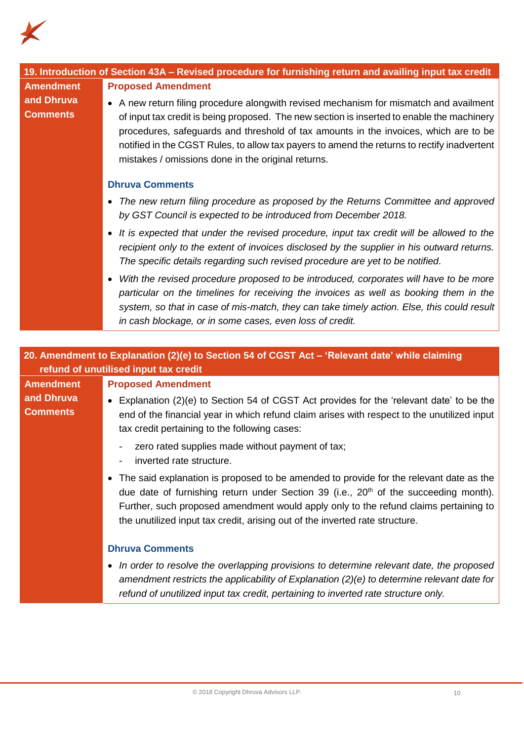

| 19. Introduction of Section 43A - Revised procedure for furnishing return and availing input tax credit                                 |                                                                                                                                                                                                                                                                                                                                                                                 |  |
|-----------------------------------------------------------------------------------------------------------------------------------------|---------------------------------------------------------------------------------------------------------------------------------------------------------------------------------------------------------------------------------------------------------------------------------------------------------------------------------------------------------------------------------|--|
| <b>Amendment</b>                                                                                                                        | <b>Proposed Amendment</b>                                                                                                                                                                                                                                                                                                                                                       |  |
| and Dhruva                                                                                                                              | • A new return filing procedure alongwith revised mechanism for mismatch and availment                                                                                                                                                                                                                                                                                          |  |
| <b>Comments</b>                                                                                                                         | of input tax credit is being proposed. The new section is inserted to enable the machinery<br>procedures, safeguards and threshold of tax amounts in the invoices, which are to be<br>notified in the CGST Rules, to allow tax payers to amend the returns to rectify inadvertent<br>mistakes / omissions done in the original returns.                                         |  |
|                                                                                                                                         | <b>Dhruva Comments</b>                                                                                                                                                                                                                                                                                                                                                          |  |
|                                                                                                                                         | The new return filing procedure as proposed by the Returns Committee and approved<br>by GST Council is expected to be introduced from December 2018.                                                                                                                                                                                                                            |  |
|                                                                                                                                         | It is expected that under the revised procedure, input tax credit will be allowed to the<br>recipient only to the extent of invoices disclosed by the supplier in his outward returns.<br>The specific details regarding such revised procedure are yet to be notified.                                                                                                         |  |
|                                                                                                                                         | With the revised procedure proposed to be introduced, corporates will have to be more<br>particular on the timelines for receiving the invoices as well as booking them in the<br>system, so that in case of mis-match, they can take timely action. Else, this could result<br>in cash blockage, or in some cases, even loss of credit.                                        |  |
|                                                                                                                                         |                                                                                                                                                                                                                                                                                                                                                                                 |  |
|                                                                                                                                         |                                                                                                                                                                                                                                                                                                                                                                                 |  |
| 20. Amendment to Explanation (2)(e) to Section 54 of CGST Act - 'Relevant date' while claiming<br>refund of unutilised input tax credit |                                                                                                                                                                                                                                                                                                                                                                                 |  |
| <b>Amendment</b>                                                                                                                        | <b>Proposed Amendment</b>                                                                                                                                                                                                                                                                                                                                                       |  |
| and Dhruva<br><b>Comments</b>                                                                                                           | • Explanation (2)(e) to Section 54 of CGST Act provides for the 'relevant date' to be the<br>end of the financial year in which refund claim arises with respect to the unutilized input<br>tax credit pertaining to the following cases:                                                                                                                                       |  |
|                                                                                                                                         | zero rated supplies made without payment of tax;<br>inverted rate structure.                                                                                                                                                                                                                                                                                                    |  |
|                                                                                                                                         | The said explanation is proposed to be amended to provide for the relevant date as the<br>$\bullet$<br>due date of furnishing return under Section 39 (i.e., 20 <sup>th</sup> of the succeeding month).<br>Further, such proposed amendment would apply only to the refund claims pertaining to<br>the unutilized input tax credit, arising out of the inverted rate structure. |  |
|                                                                                                                                         | <b>Dhruva Comments</b>                                                                                                                                                                                                                                                                                                                                                          |  |
|                                                                                                                                         | In order to resolve the overlapping provisions to determine relevant date, the proposed<br>$\bullet$<br>amendment restricts the applicability of Explanation $(2)(e)$ to determine relevant date for                                                                                                                                                                            |  |

*refund of unutilized input tax credit, pertaining to inverted rate structure only.*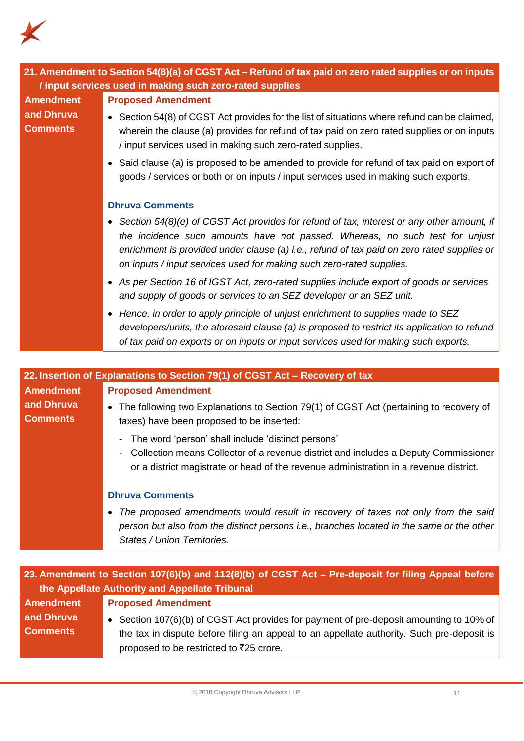

**Comments**

| 21. Amendment to Section 54(8)(a) of CGST Act - Refund of tax paid on zero rated supplies or on inputs |                                                                                                                                                                                                                                                                                                                                                 |  |
|--------------------------------------------------------------------------------------------------------|-------------------------------------------------------------------------------------------------------------------------------------------------------------------------------------------------------------------------------------------------------------------------------------------------------------------------------------------------|--|
|                                                                                                        | / input services used in making such zero-rated supplies                                                                                                                                                                                                                                                                                        |  |
| <b>Amendment</b>                                                                                       | <b>Proposed Amendment</b>                                                                                                                                                                                                                                                                                                                       |  |
| and Dhruva<br><b>Comments</b>                                                                          | • Section 54(8) of CGST Act provides for the list of situations where refund can be claimed,<br>wherein the clause (a) provides for refund of tax paid on zero rated supplies or on inputs<br>/ input services used in making such zero-rated supplies.                                                                                         |  |
|                                                                                                        | • Said clause (a) is proposed to be amended to provide for refund of tax paid on export of<br>goods / services or both or on inputs / input services used in making such exports.                                                                                                                                                               |  |
|                                                                                                        | <b>Dhruva Comments</b>                                                                                                                                                                                                                                                                                                                          |  |
|                                                                                                        | Section 54(8)(e) of CGST Act provides for refund of tax, interest or any other amount, if<br>the incidence such amounts have not passed. Whereas, no such test for unjust<br>enrichment is provided under clause (a) i.e., refund of tax paid on zero rated supplies or<br>on inputs / input services used for making such zero-rated supplies. |  |
|                                                                                                        | • As per Section 16 of IGST Act, zero-rated supplies include export of goods or services<br>and supply of goods or services to an SEZ developer or an SEZ unit.                                                                                                                                                                                 |  |
|                                                                                                        | • Hence, in order to apply principle of unjust enrichment to supplies made to SEZ<br>developers/units, the aforesaid clause (a) is proposed to restrict its application to refund<br>of tax paid on exports or on inputs or input services used for making such exports.                                                                        |  |
|                                                                                                        |                                                                                                                                                                                                                                                                                                                                                 |  |
| 22. Insertion of Explanations to Section 79(1) of CGST Act - Recovery of tax                           |                                                                                                                                                                                                                                                                                                                                                 |  |
| <b>Amendment</b>                                                                                       | <b>Proposed Amendment</b>                                                                                                                                                                                                                                                                                                                       |  |

# **and Dhruva**  • The following two Explanations to Section 79(1) of CGST Act (pertaining to recovery of taxes) have been proposed to be inserted:

- The word 'person' shall include 'distinct persons'
- Collection means Collector of a revenue district and includes a Deputy Commissioner or a district magistrate or head of the revenue administration in a revenue district.

# **Dhruva Comments**

• *The proposed amendments would result in recovery of taxes not only from the said person but also from the distinct persons i.e., branches located in the same or the other States / Union Territories.*

| 23. Amendment to Section 107(6)(b) and 112(8)(b) of CGST Act - Pre-deposit for filing Appeal before |                                                                                                                                                                                                                                 |  |
|-----------------------------------------------------------------------------------------------------|---------------------------------------------------------------------------------------------------------------------------------------------------------------------------------------------------------------------------------|--|
| the Appellate Authority and Appellate Tribunal                                                      |                                                                                                                                                                                                                                 |  |
| Amendment                                                                                           | <b>Proposed Amendment</b>                                                                                                                                                                                                       |  |
| and Dhruva<br><b>Comments</b>                                                                       | • Section 107(6)(b) of CGST Act provides for payment of pre-deposit amounting to 10% of<br>the tax in dispute before filing an appeal to an appellate authority. Such pre-deposit is<br>proposed to be restricted to ₹25 crore. |  |
|                                                                                                     |                                                                                                                                                                                                                                 |  |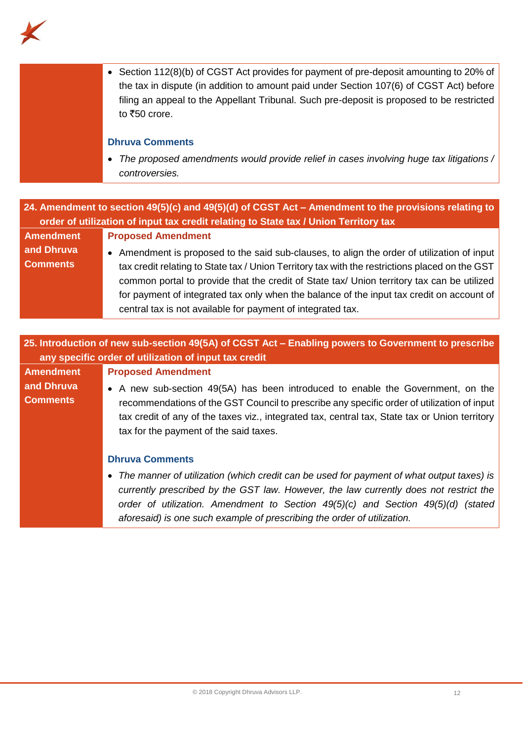

|                                                                                                                                                                                              | • Section 112(8)(b) of CGST Act provides for payment of pre-deposit amounting to 20% of<br>the tax in dispute (in addition to amount paid under Section 107(6) of CGST Act) before<br>filing an appeal to the Appellant Tribunal. Such pre-deposit is proposed to be restricted<br>to ₹50 crore. |  |
|----------------------------------------------------------------------------------------------------------------------------------------------------------------------------------------------|--------------------------------------------------------------------------------------------------------------------------------------------------------------------------------------------------------------------------------------------------------------------------------------------------|--|
|                                                                                                                                                                                              | <b>Dhruva Comments</b>                                                                                                                                                                                                                                                                           |  |
|                                                                                                                                                                                              | The proposed amendments would provide relief in cases involving huge tax litigations /<br>$\bullet$<br>controversies.                                                                                                                                                                            |  |
|                                                                                                                                                                                              |                                                                                                                                                                                                                                                                                                  |  |
| 24. Amendment to section 49(5)(c) and 49(5)(d) of CGST Act - Amendment to the provisions relating to<br>order of utilization of input tax credit relating to State tax / Union Territory tax |                                                                                                                                                                                                                                                                                                  |  |
| <b>Amendment</b>                                                                                                                                                                             | <b>Proposed Amendment</b>                                                                                                                                                                                                                                                                        |  |
| and Dhruva                                                                                                                                                                                   | • Amendment is proposed to the said sub-clauses, to align the order of utilization of input                                                                                                                                                                                                      |  |
| <b>Comments</b>                                                                                                                                                                              | tax credit relating to State tax / Union Territory tax with the restrictions placed on the GST                                                                                                                                                                                                   |  |
|                                                                                                                                                                                              | common portal to provide that the credit of State tax/ Union territory tax can be utilized<br>for payment of integrated tax only when the balance of the input tax credit on account of                                                                                                          |  |
|                                                                                                                                                                                              | central tax is not available for payment of integrated tax.                                                                                                                                                                                                                                      |  |
|                                                                                                                                                                                              |                                                                                                                                                                                                                                                                                                  |  |
|                                                                                                                                                                                              | 25. Introduction of new sub-section 49(5A) of CGST Act - Enabling powers to Government to prescribe                                                                                                                                                                                              |  |
|                                                                                                                                                                                              | any specific order of utilization of input tax credit                                                                                                                                                                                                                                            |  |
| <b>Amendment</b>                                                                                                                                                                             | <b>Proposed Amendment</b>                                                                                                                                                                                                                                                                        |  |
| and Dhruva                                                                                                                                                                                   | • A new sub-section 49(5A) has been introduced to enable the Government, on the                                                                                                                                                                                                                  |  |
| <b>Comments</b>                                                                                                                                                                              | recommendations of the GST Council to prescribe any specific order of utilization of input                                                                                                                                                                                                       |  |
|                                                                                                                                                                                              | tax credit of any of the taxes viz., integrated tax, central tax, State tax or Union territory<br>tax for the payment of the said taxes.                                                                                                                                                         |  |
|                                                                                                                                                                                              |                                                                                                                                                                                                                                                                                                  |  |
|                                                                                                                                                                                              | <b>Dhruva Comments</b>                                                                                                                                                                                                                                                                           |  |
|                                                                                                                                                                                              | The manner of utilization (which credit can be used for payment of what output taxes) is<br>٠                                                                                                                                                                                                    |  |
|                                                                                                                                                                                              | currently prescribed by the GST law. However, the law currently does not restrict the                                                                                                                                                                                                            |  |
|                                                                                                                                                                                              | order of utilization. Amendment to Section 49(5)(c) and Section 49(5)(d) (stated<br>aforesaid) is one such example of prescribing the order of utilization.                                                                                                                                      |  |
|                                                                                                                                                                                              |                                                                                                                                                                                                                                                                                                  |  |